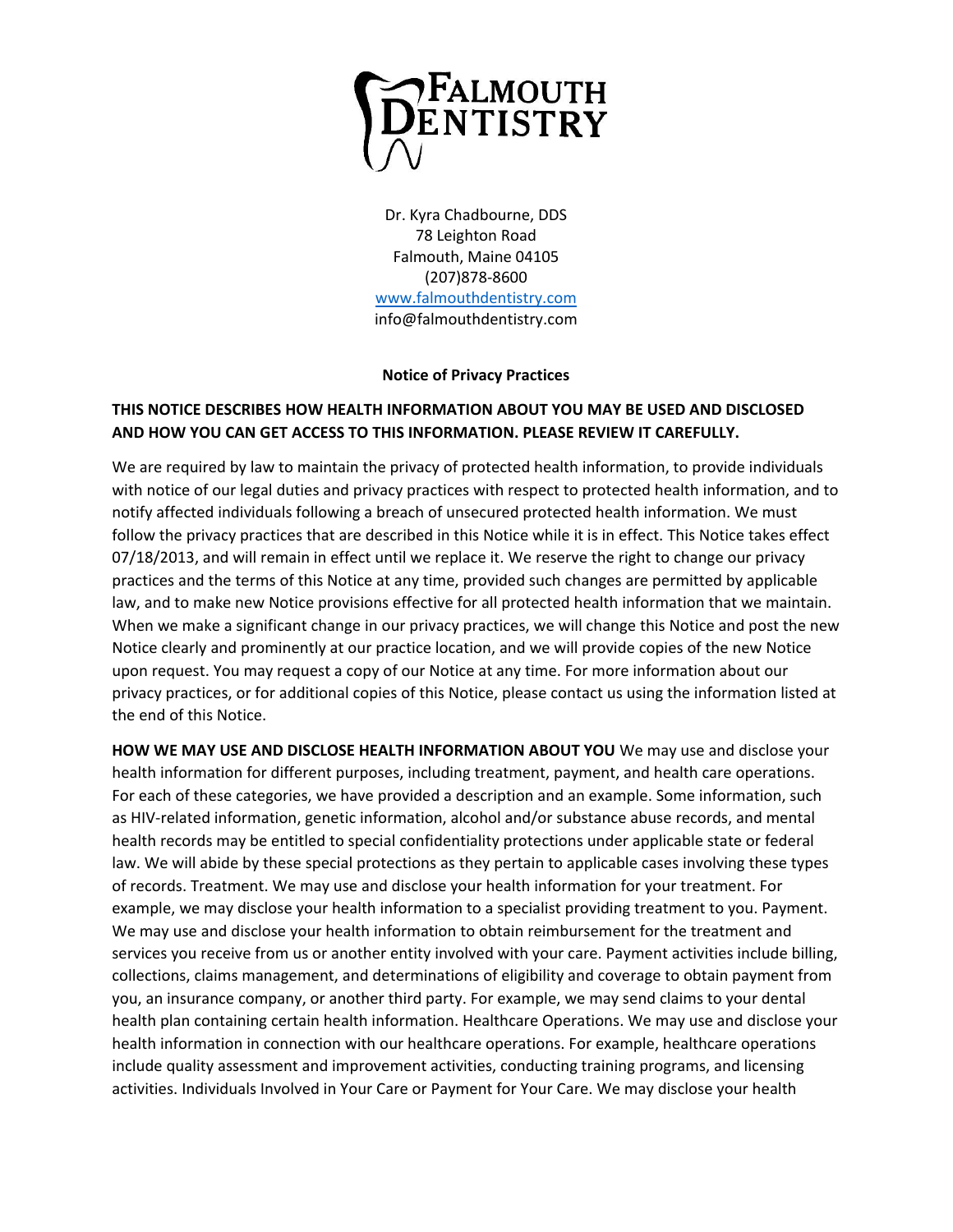

Dr. Kyra Chadbourne, DDS 78 Leighton Road Falmouth, Maine 04105 (207)878-8600 [www.falmouthdentistry.com](http://www.falmouthdentistry.com/) info@falmouthdentistry.com

## **Notice of Privacy Practices**

## **THIS NOTICE DESCRIBES HOW HEALTH INFORMATION ABOUT YOU MAY BE USED AND DISCLOSED AND HOW YOU CAN GET ACCESS TO THIS INFORMATION. PLEASE REVIEW IT CAREFULLY.**

We are required by law to maintain the privacy of protected health information, to provide individuals with notice of our legal duties and privacy practices with respect to protected health information, and to notify affected individuals following a breach of unsecured protected health information. We must follow the privacy practices that are described in this Notice while it is in effect. This Notice takes effect 07/18/2013, and will remain in effect until we replace it. We reserve the right to change our privacy practices and the terms of this Notice at any time, provided such changes are permitted by applicable law, and to make new Notice provisions effective for all protected health information that we maintain. When we make a significant change in our privacy practices, we will change this Notice and post the new Notice clearly and prominently at our practice location, and we will provide copies of the new Notice upon request. You may request a copy of our Notice at any time. For more information about our privacy practices, or for additional copies of this Notice, please contact us using the information listed at the end of this Notice.

**HOW WE MAY USE AND DISCLOSE HEALTH INFORMATION ABOUT YOU** We may use and disclose your health information for different purposes, including treatment, payment, and health care operations. For each of these categories, we have provided a description and an example. Some information, such as HIV-related information, genetic information, alcohol and/or substance abuse records, and mental health records may be entitled to special confidentiality protections under applicable state or federal law. We will abide by these special protections as they pertain to applicable cases involving these types of records. Treatment. We may use and disclose your health information for your treatment. For example, we may disclose your health information to a specialist providing treatment to you. Payment. We may use and disclose your health information to obtain reimbursement for the treatment and services you receive from us or another entity involved with your care. Payment activities include billing, collections, claims management, and determinations of eligibility and coverage to obtain payment from you, an insurance company, or another third party. For example, we may send claims to your dental health plan containing certain health information. Healthcare Operations. We may use and disclose your health information in connection with our healthcare operations. For example, healthcare operations include quality assessment and improvement activities, conducting training programs, and licensing activities. Individuals Involved in Your Care or Payment for Your Care. We may disclose your health